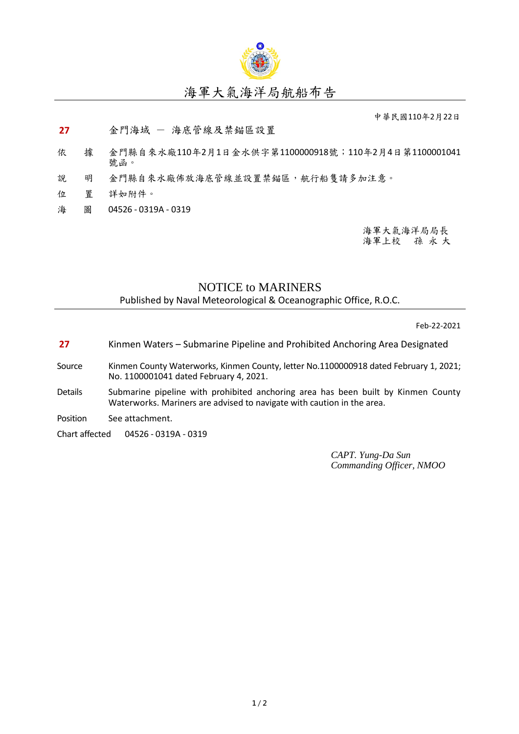

## 海軍大氣海洋局航船布告

中華民國110年2月22日

**27** 金門海域 - 海底管線及禁錨區設置

- 依 據 金門縣自來水廠110年2月1日金水供字第1100000918號;110年2月4日第1100001041 號函。
- 說 明 金門縣自來水廠佈放海底管線並設置禁錨區,航行船隻請多加注意。
- 位 置 詳如附件。
- 海 圖 04526 0319A 0319

海軍大氣海洋局局長 海軍上校 孫 永 大

## NOTICE to MARINERS

Published by Naval Meteorological & Oceanographic Office, R.O.C.

Feb-22-2021

- **27** Kinmen Waters Submarine Pipeline and Prohibited Anchoring Area Designated
- Source Kinmen County Waterworks, Kinmen County, letter No.1100000918 dated February 1, 2021; No. 1100001041 dated February 4, 2021.
- Details Submarine pipeline with prohibited anchoring area has been built by Kinmen County Waterworks. Mariners are advised to navigate with caution in the area.
- Position See attachment.
- Chart affected 04526 0319A 0319

*CAPT. Yung-Da Sun Commanding Officer, NMOO*